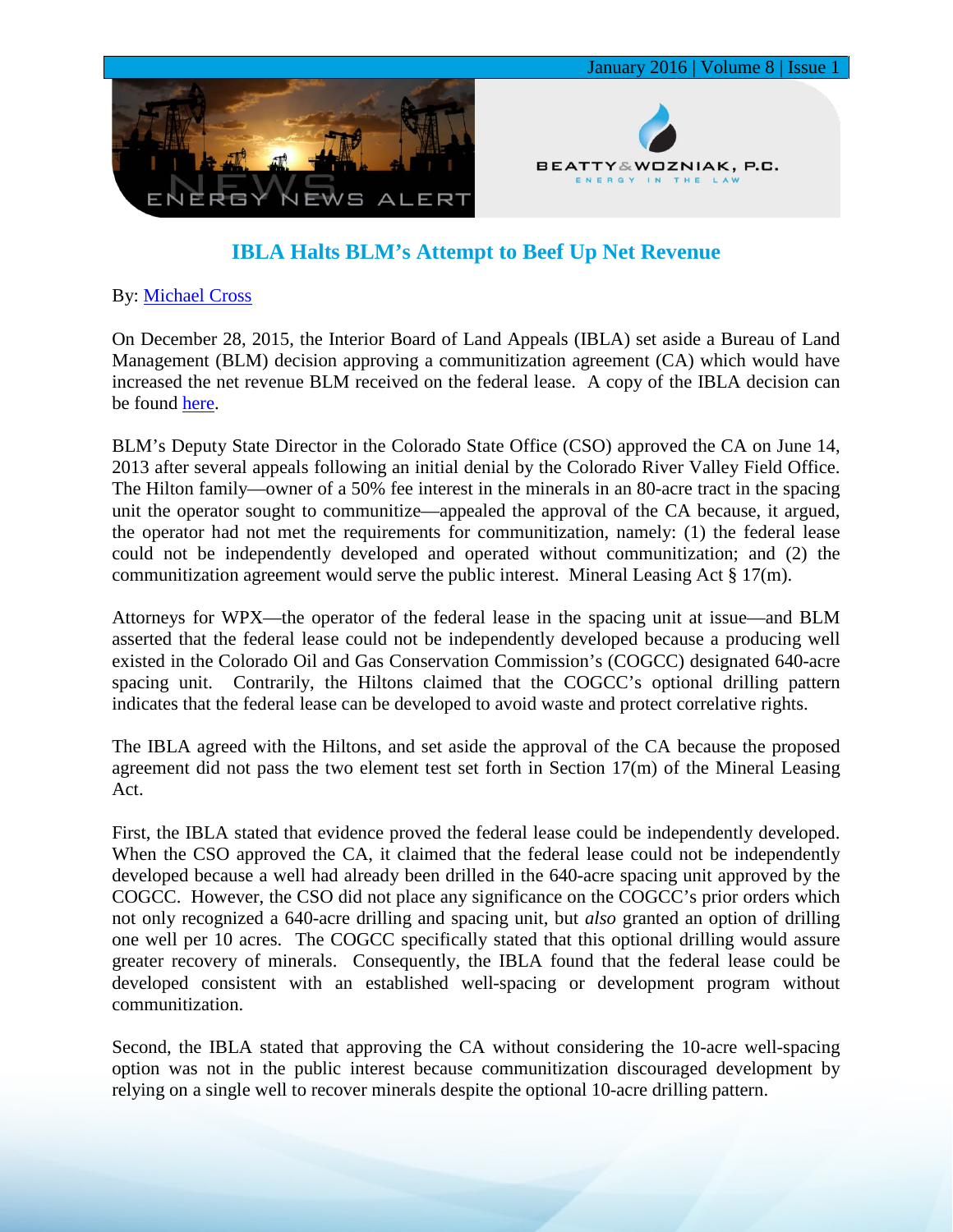

## **IBLA Halts BLM's Attempt to Beef Up Net Revenue**

## By: [Michael Cross](http://www.bwenergylaw.com/#!mike-cross/cy73)

On December 28, 2015, the Interior Board of Land Appeals (IBLA) set aside a Bureau of Land Management (BLM) decision approving a communitization agreement (CA) which would have increased the net revenue BLM received on the federal lease. A copy of the IBLA decision can be found [here.](http://media.wix.com/ugd/2f2374_34909c3e1e2d4d5ba60370cfd9012f02.pdf)

BLM's Deputy State Director in the Colorado State Office (CSO) approved the CA on June 14, 2013 after several appeals following an initial denial by the Colorado River Valley Field Office. The Hilton family—owner of a 50% fee interest in the minerals in an 80-acre tract in the spacing unit the operator sought to communitize—appealed the approval of the CA because, it argued, the operator had not met the requirements for communitization, namely: (1) the federal lease could not be independently developed and operated without communitization; and (2) the communitization agreement would serve the public interest. Mineral Leasing Act § 17(m).

Attorneys for WPX—the operator of the federal lease in the spacing unit at issue—and BLM asserted that the federal lease could not be independently developed because a producing well existed in the Colorado Oil and Gas Conservation Commission's (COGCC) designated 640-acre spacing unit. Contrarily, the Hiltons claimed that the COGCC's optional drilling pattern indicates that the federal lease can be developed to avoid waste and protect correlative rights.

The IBLA agreed with the Hiltons, and set aside the approval of the CA because the proposed agreement did not pass the two element test set forth in Section 17(m) of the Mineral Leasing Act.

First, the IBLA stated that evidence proved the federal lease could be independently developed. When the CSO approved the CA, it claimed that the federal lease could not be independently developed because a well had already been drilled in the 640-acre spacing unit approved by the COGCC. However, the CSO did not place any significance on the COGCC's prior orders which not only recognized a 640-acre drilling and spacing unit, but *also* granted an option of drilling one well per 10 acres. The COGCC specifically stated that this optional drilling would assure greater recovery of minerals. Consequently, the IBLA found that the federal lease could be developed consistent with an established well-spacing or development program without communitization.

Second, the IBLA stated that approving the CA without considering the 10-acre well-spacing option was not in the public interest because communitization discouraged development by relying on a single well to recover minerals despite the optional 10-acre drilling pattern.